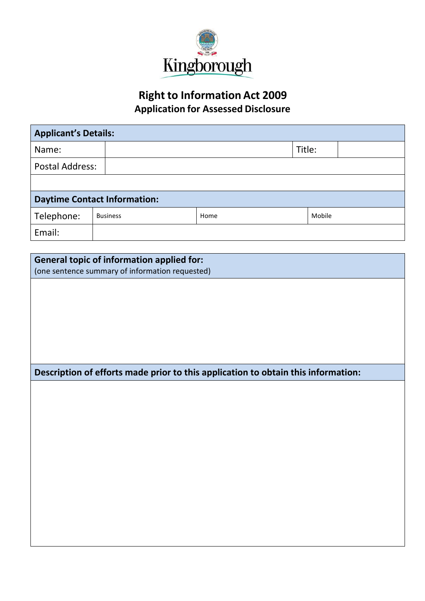

## **Right to Information Act 2009 Application for Assessed Disclosure**

| <b>Applicant's Details:</b>         |                                                                                                     |                                                                                   |        |        |  |
|-------------------------------------|-----------------------------------------------------------------------------------------------------|-----------------------------------------------------------------------------------|--------|--------|--|
| Name:                               |                                                                                                     |                                                                                   | Title: |        |  |
| <b>Postal Address:</b>              |                                                                                                     |                                                                                   |        |        |  |
|                                     |                                                                                                     |                                                                                   |        |        |  |
| <b>Daytime Contact Information:</b> |                                                                                                     |                                                                                   |        |        |  |
| Telephone:                          | <b>Business</b>                                                                                     | Home                                                                              |        | Mobile |  |
| Email:                              |                                                                                                     |                                                                                   |        |        |  |
|                                     |                                                                                                     |                                                                                   |        |        |  |
|                                     | <b>General topic of information applied for:</b><br>(one sentence summary of information requested) |                                                                                   |        |        |  |
|                                     |                                                                                                     |                                                                                   |        |        |  |
|                                     |                                                                                                     |                                                                                   |        |        |  |
|                                     |                                                                                                     |                                                                                   |        |        |  |
|                                     |                                                                                                     |                                                                                   |        |        |  |
|                                     |                                                                                                     |                                                                                   |        |        |  |
|                                     |                                                                                                     |                                                                                   |        |        |  |
|                                     |                                                                                                     | Description of efforts made prior to this application to obtain this information: |        |        |  |
|                                     |                                                                                                     |                                                                                   |        |        |  |
|                                     |                                                                                                     |                                                                                   |        |        |  |
|                                     |                                                                                                     |                                                                                   |        |        |  |
|                                     |                                                                                                     |                                                                                   |        |        |  |
|                                     |                                                                                                     |                                                                                   |        |        |  |
|                                     |                                                                                                     |                                                                                   |        |        |  |
|                                     |                                                                                                     |                                                                                   |        |        |  |
|                                     |                                                                                                     |                                                                                   |        |        |  |
|                                     |                                                                                                     |                                                                                   |        |        |  |
|                                     |                                                                                                     |                                                                                   |        |        |  |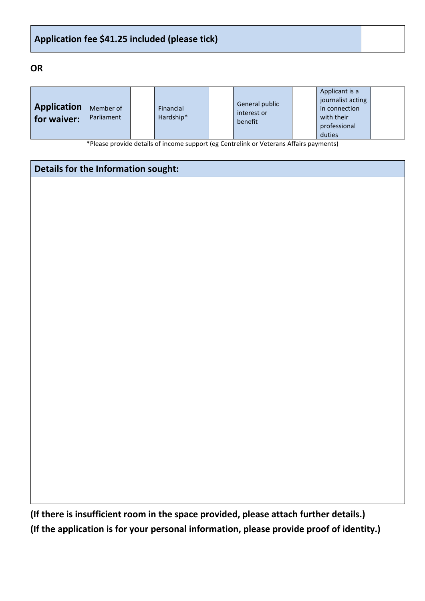### **Application fee \$41.25 included (please tick)**

### **OR**

|                    |                         |                        |                                          |  | Applicant is a    |  |
|--------------------|-------------------------|------------------------|------------------------------------------|--|-------------------|--|
|                    | Member of<br>Parliament | Financial<br>Hardship* | General public<br>interest or<br>benefit |  | journalist acting |  |
| <b>Application</b> |                         |                        |                                          |  | in connection     |  |
| for waiver:        |                         |                        |                                          |  | with their        |  |
|                    |                         |                        |                                          |  | professional      |  |
|                    |                         |                        |                                          |  | duties            |  |

\*Please provide details of income support (eg Centrelink or Veterans Affairs payments)

| Details for the Information sought: |  |
|-------------------------------------|--|
|                                     |  |
|                                     |  |
|                                     |  |
|                                     |  |
|                                     |  |
|                                     |  |
|                                     |  |
|                                     |  |
|                                     |  |
|                                     |  |
|                                     |  |
|                                     |  |
|                                     |  |
|                                     |  |
|                                     |  |
|                                     |  |
|                                     |  |
|                                     |  |
|                                     |  |

**(If there is insufficient room in the space provided, please attach further details.) (If the application is for your personal information, please provide proof of identity.)**